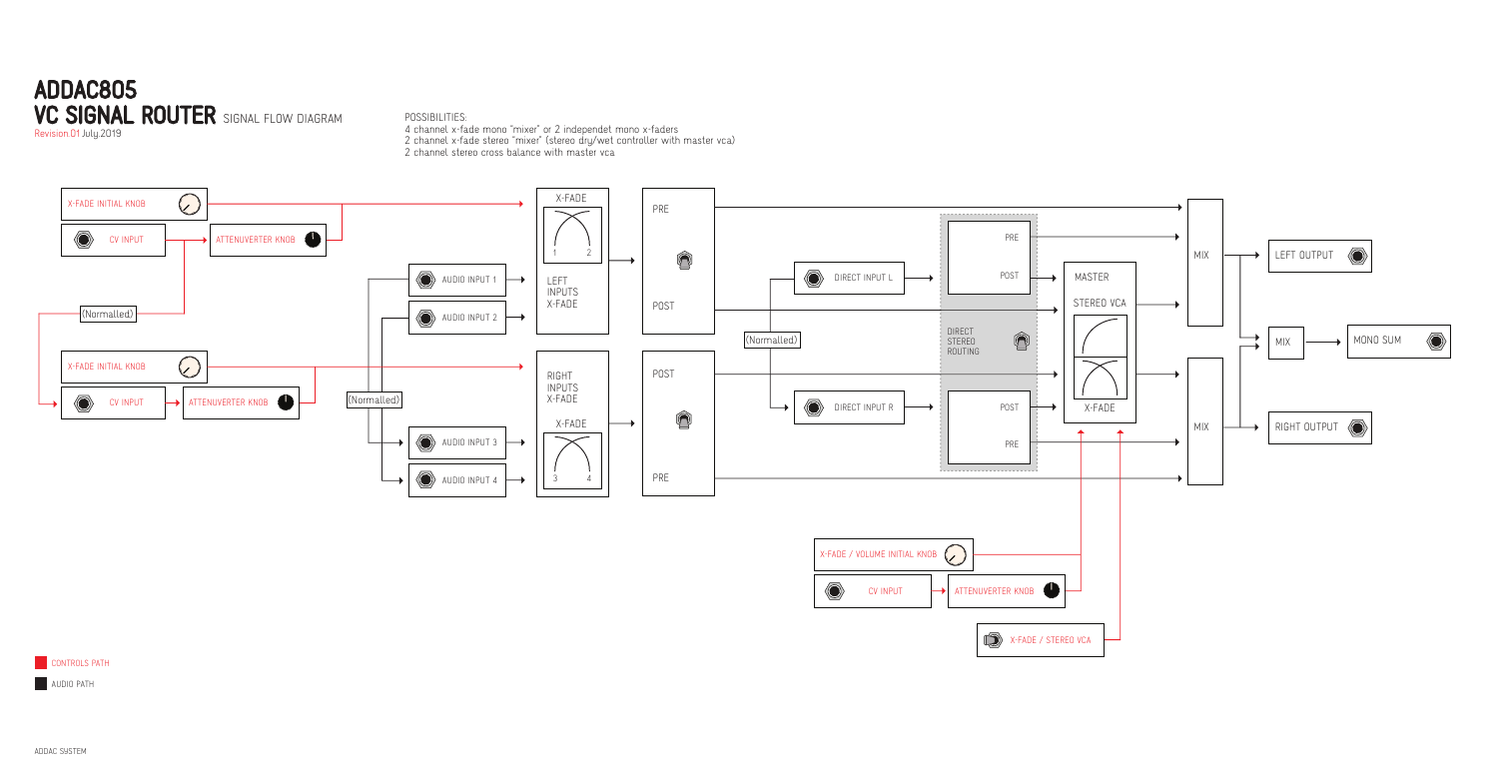## ADDAC805 VC SIGNAL ROUTER SIGNAL FLOW DIAGRAM

Revision.01 July.2019

POSSIBILITIES:





**CONTROLS PATH** 

**AUDIO PATH** 

4 channel x-fade mono "mixer" or 2 independet mono x-faders 2 channel x-fade stereo "mixer" (stereo dry/wet controller with master vca)

2 channel stereo cross balance with master vca